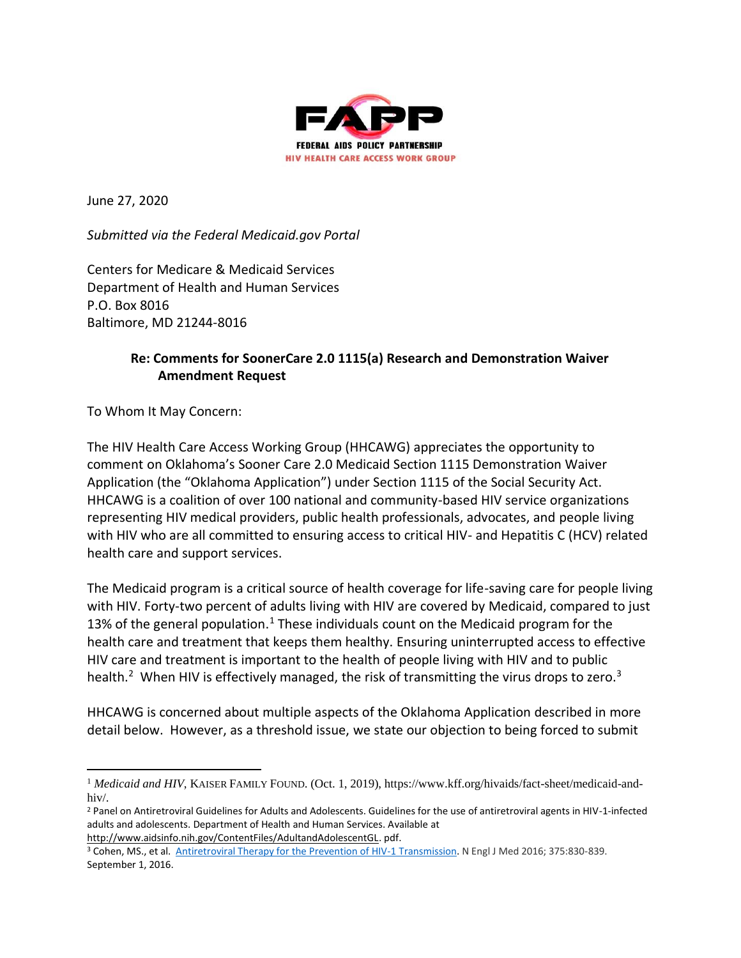

June 27, 2020

*Submitted via the Federal Medicaid.gov Portal*

Centers for Medicare & Medicaid Services Department of Health and Human Services P.O. Box 8016 Baltimore, MD 21244-8016

#### **Re: Comments for SoonerCare 2.0 1115(a) Research and Demonstration Waiver Amendment Request**

To Whom It May Concern:

The HIV Health Care Access Working Group (HHCAWG) appreciates the opportunity to comment on Oklahoma's Sooner Care 2.0 Medicaid Section 1115 Demonstration Waiver Application (the "Oklahoma Application") under Section 1115 of the Social Security Act. HHCAWG is a coalition of over 100 national and community-based HIV service organizations representing HIV medical providers, public health professionals, advocates, and people living with HIV who are all committed to ensuring access to critical HIV- and Hepatitis C (HCV) related health care and support services.

The Medicaid program is a critical source of health coverage for life-saving care for people living with HIV. Forty-two percent of adults living with HIV are covered by Medicaid, compared to just 13% of the general population.<sup>1</sup> These individuals count on the Medicaid program for the health care and treatment that keeps them healthy. Ensuring uninterrupted access to effective HIV care and treatment is important to the health of people living with HIV and to public health.<sup>2</sup> When HIV is effectively managed, the risk of transmitting the virus drops to zero.<sup>3</sup>

HHCAWG is concerned about multiple aspects of the Oklahoma Application described in more detail below. However, as a threshold issue, we state our objection to being forced to submit

[http://www.aidsinfo.nih.gov/ContentFiles/AdultandAdolescentGL.](http://www.aidsinfo.nih.gov/ContentFiles/AdultandAdolescentGL) pdf.

<sup>&</sup>lt;sup>1</sup> Medicaid and HIV, KAISER FAMILY FOUND. (Oct. 1, 2019), https://www.kff.org/hivaids/fact-sheet/medicaid-andhiv/.

<sup>&</sup>lt;sup>2</sup> Panel on Antiretroviral Guidelines for Adults and Adolescents. Guidelines for the use of antiretroviral agents in HIV-1-infected adults and adolescents. Department of Health and Human Services. Available at

<sup>&</sup>lt;sup>3</sup> Cohen, MS., et al. [Antiretroviral Therapy for the Prevention of HIV-1 Transmission.](http://www.nejm.org/doi/full/10.1056/NEJMoa1600693#t=article) N Engl J Med 2016; 375:830-839. [September 1, 2016.](http://www.nejm.org/toc/nejm/375/9/)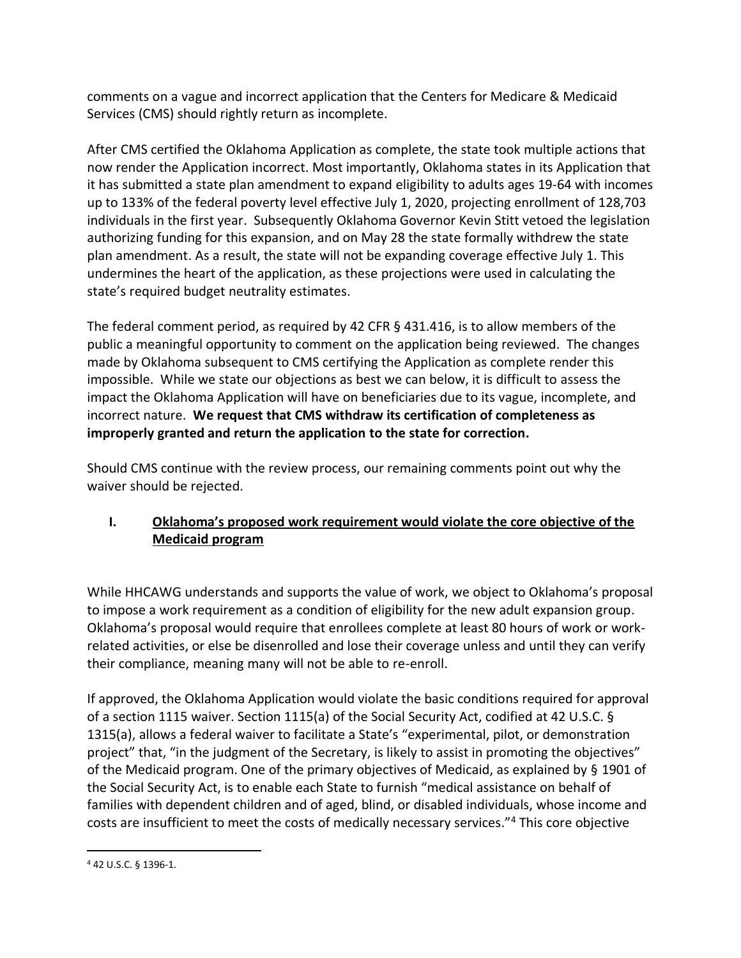comments on a vague and incorrect application that the Centers for Medicare & Medicaid Services (CMS) should rightly return as incomplete.

After CMS certified the Oklahoma Application as complete, the state took multiple actions that now render the Application incorrect. Most importantly, Oklahoma states in its Application that it has submitted a state plan amendment to expand eligibility to adults ages 19-64 with incomes up to 133% of the federal poverty level effective July 1, 2020, projecting enrollment of 128,703 individuals in the first year. Subsequently Oklahoma Governor Kevin Stitt vetoed the legislation authorizing funding for this expansion, and on May 28 the state formally withdrew the state plan amendment. As a result, the state will not be expanding coverage effective July 1. This undermines the heart of the application, as these projections were used in calculating the state's required budget neutrality estimates.

The federal comment period, as required by 42 CFR § 431.416, is to allow members of the public a meaningful opportunity to comment on the application being reviewed. The changes made by Oklahoma subsequent to CMS certifying the Application as complete render this impossible. While we state our objections as best we can below, it is difficult to assess the impact the Oklahoma Application will have on beneficiaries due to its vague, incomplete, and incorrect nature. **We request that CMS withdraw its certification of completeness as improperly granted and return the application to the state for correction.**

Should CMS continue with the review process, our remaining comments point out why the waiver should be rejected.

# **I. Oklahoma's proposed work requirement would violate the core objective of the Medicaid program**

While HHCAWG understands and supports the value of work, we object to Oklahoma's proposal to impose a work requirement as a condition of eligibility for the new adult expansion group. Oklahoma's proposal would require that enrollees complete at least 80 hours of work or workrelated activities, or else be disenrolled and lose their coverage unless and until they can verify their compliance, meaning many will not be able to re-enroll.

If approved, the Oklahoma Application would violate the basic conditions required for approval of a section 1115 waiver. Section 1115(a) of the Social Security Act, codified at 42 U.S.C. § 1315(a), allows a federal waiver to facilitate a State's "experimental, pilot, or demonstration project" that, "in the judgment of the Secretary, is likely to assist in promoting the objectives" of the Medicaid program. One of the primary objectives of Medicaid, as explained by § 1901 of the Social Security Act, is to enable each State to furnish "medical assistance on behalf of families with dependent children and of aged, blind, or disabled individuals, whose income and costs are insufficient to meet the costs of medically necessary services."<sup>4</sup> This core objective

<sup>4</sup> 42 U.S.C. § 1396-1.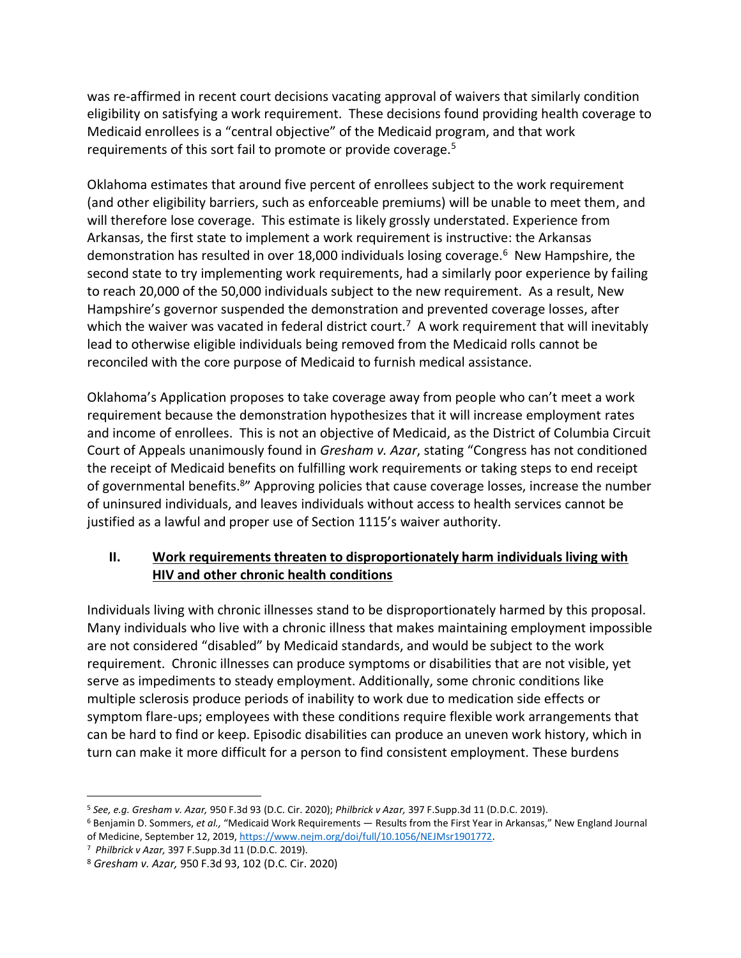was re-affirmed in recent court decisions vacating approval of waivers that similarly condition eligibility on satisfying a work requirement. These decisions found providing health coverage to Medicaid enrollees is a "central objective" of the Medicaid program, and that work requirements of this sort fail to promote or provide coverage.<sup>5</sup>

Oklahoma estimates that around five percent of enrollees subject to the work requirement (and other eligibility barriers, such as enforceable premiums) will be unable to meet them, and will therefore lose coverage. This estimate is likely grossly understated. Experience from Arkansas, the first state to implement a work requirement is instructive: the Arkansas demonstration has resulted in over 18,000 individuals losing coverage.<sup>6</sup> New Hampshire, the second state to try implementing work requirements, had a similarly poor experience by failing to reach 20,000 of the 50,000 individuals subject to the new requirement. As a result, New Hampshire's governor suspended the demonstration and prevented coverage losses, after which the waiver was vacated in federal district court.<sup>7</sup> A work requirement that will inevitably lead to otherwise eligible individuals being removed from the Medicaid rolls cannot be reconciled with the core purpose of Medicaid to furnish medical assistance.

Oklahoma's Application proposes to take coverage away from people who can't meet a work requirement because the demonstration hypothesizes that it will increase employment rates and income of enrollees. This is not an objective of Medicaid, as the District of Columbia Circuit Court of Appeals unanimously found in *Gresham v. Azar*, stating "Congress has not conditioned the receipt of Medicaid benefits on fulfilling work requirements or taking steps to end receipt of governmental benefits.<sup>8</sup>" Approving policies that cause coverage losses, increase the number of uninsured individuals, and leaves individuals without access to health services cannot be justified as a lawful and proper use of Section 1115's waiver authority.

## **II. Work requirements threaten to disproportionately harm individuals living with HIV and other chronic health conditions**

Individuals living with chronic illnesses stand to be disproportionately harmed by this proposal. Many individuals who live with a chronic illness that makes maintaining employment impossible are not considered "disabled" by Medicaid standards, and would be subject to the work requirement. Chronic illnesses can produce symptoms or disabilities that are not visible, yet serve as impediments to steady employment. Additionally, some chronic conditions like multiple sclerosis produce periods of inability to work due to medication side effects or symptom flare-ups; employees with these conditions require flexible work arrangements that can be hard to find or keep. Episodic disabilities can produce an uneven work history, which in turn can make it more difficult for a person to find consistent employment. These burdens

<sup>5</sup> *See, e.g. Gresham v. Azar,* 950 F.3d 93 (D.C. Cir. 2020); *Philbrick v Azar,* 397 F.Supp.3d 11 (D.D.C. 2019).

<sup>6</sup> Benjamin D. Sommers, *et al.,* "Medicaid Work Requirements — Results from the First Year in Arkansas," New England Journal of Medicine, September 12, 2019, [https://www.nejm.org/doi/full/10.1056/NEJMsr1901772.](https://www.nejm.org/doi/full/10.1056/NEJMsr1901772)

<sup>7</sup> *Philbrick v Azar,* 397 F.Supp.3d 11 (D.D.C. 2019).

<sup>8</sup> *Gresham v. Azar,* 950 F.3d 93, 102 (D.C. Cir. 2020)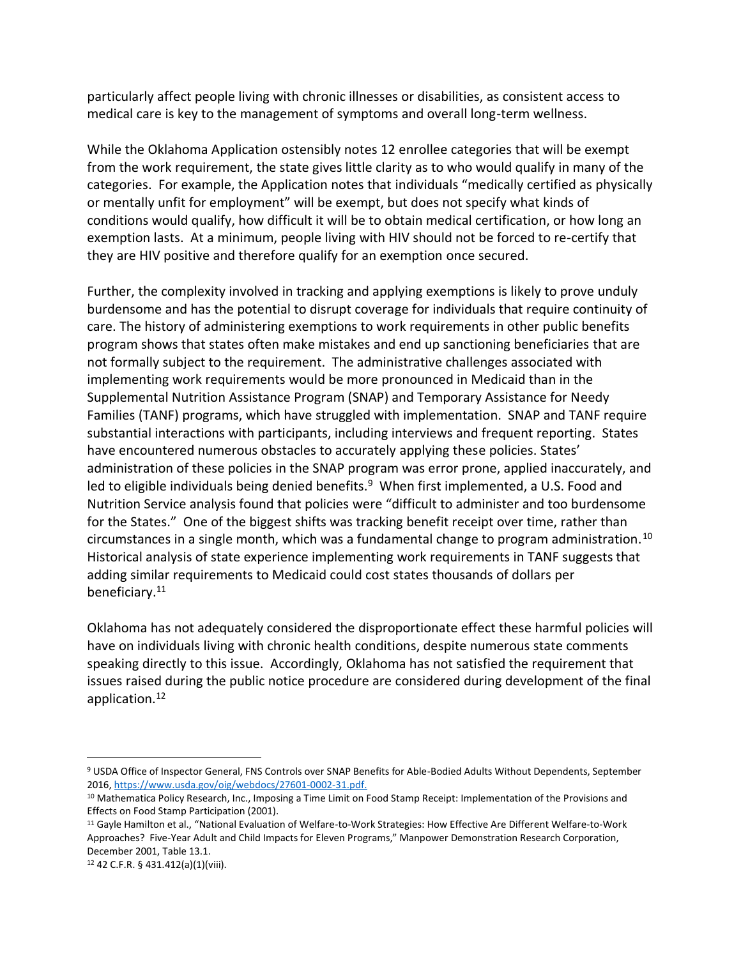particularly affect people living with chronic illnesses or disabilities, as consistent access to medical care is key to the management of symptoms and overall long-term wellness.

While the Oklahoma Application ostensibly notes 12 enrollee categories that will be exempt from the work requirement, the state gives little clarity as to who would qualify in many of the categories. For example, the Application notes that individuals "medically certified as physically or mentally unfit for employment" will be exempt, but does not specify what kinds of conditions would qualify, how difficult it will be to obtain medical certification, or how long an exemption lasts. At a minimum, people living with HIV should not be forced to re-certify that they are HIV positive and therefore qualify for an exemption once secured.

Further, the complexity involved in tracking and applying exemptions is likely to prove unduly burdensome and has the potential to disrupt coverage for individuals that require continuity of care. The history of administering exemptions to work requirements in other public benefits program shows that states often make mistakes and end up sanctioning beneficiaries that are not formally subject to the requirement. The administrative challenges associated with implementing work requirements would be more pronounced in Medicaid than in the Supplemental Nutrition Assistance Program (SNAP) and Temporary Assistance for Needy Families (TANF) programs, which have struggled with implementation. SNAP and TANF require substantial interactions with participants, including interviews and frequent reporting. States have encountered numerous obstacles to accurately applying these policies. States' administration of these policies in the SNAP program was error prone, applied inaccurately, and led to eligible individuals being denied benefits.<sup>9</sup> When first implemented, a U.S. Food and Nutrition Service analysis found that policies were "difficult to administer and too burdensome for the States." One of the biggest shifts was tracking benefit receipt over time, rather than circumstances in a single month, which was a fundamental change to program administration.<sup>10</sup> Historical analysis of state experience implementing work requirements in TANF suggests that adding similar requirements to Medicaid could cost states thousands of dollars per beneficiary.<sup>11</sup>

Oklahoma has not adequately considered the disproportionate effect these harmful policies will have on individuals living with chronic health conditions, despite numerous state comments speaking directly to this issue. Accordingly, Oklahoma has not satisfied the requirement that issues raised during the public notice procedure are considered during development of the final application.<sup>12</sup>

<sup>9</sup> USDA Office of Inspector General, FNS Controls over SNAP Benefits for Able-Bodied Adults Without Dependents, September 2016[, https://www.usda.gov/oig/webdocs/27601-0002-31.pdf.](https://www.usda.gov/oig/webdocs/27601-0002-31.pdf)

<sup>10</sup> Mathematica Policy Research, Inc., Imposing a Time Limit on Food Stamp Receipt: Implementation of the Provisions and Effects on Food Stamp Participation (2001).

<sup>&</sup>lt;sup>11</sup> Gayle Hamilton et al., "National Evaluation of Welfare-to-Work Strategies: How Effective Are Different Welfare-to-Work Approaches? Five-Year Adult and Child Impacts for Eleven Programs," Manpower Demonstration Research Corporation, December 2001, Table 13.1.

<sup>12</sup> 42 C.F.R. § 431.412(a)(1)(viii).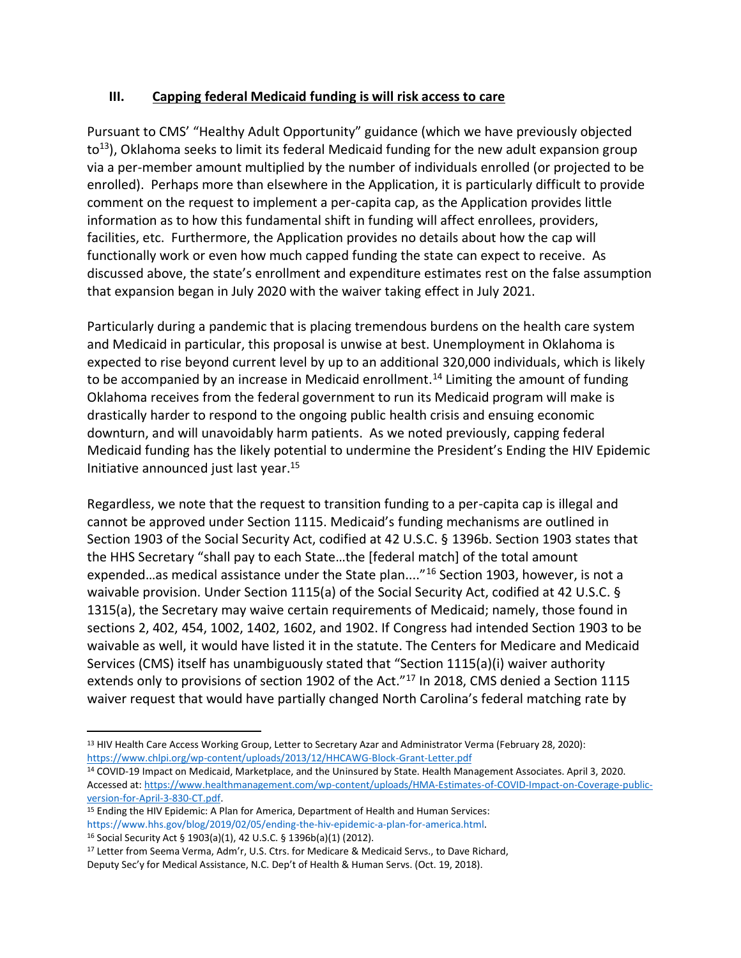### **III. Capping federal Medicaid funding is will risk access to care**

Pursuant to CMS' "Healthy Adult Opportunity" guidance (which we have previously objected  $to$ <sup>13</sup>), Oklahoma seeks to limit its federal Medicaid funding for the new adult expansion group via a per-member amount multiplied by the number of individuals enrolled (or projected to be enrolled). Perhaps more than elsewhere in the Application, it is particularly difficult to provide comment on the request to implement a per-capita cap, as the Application provides little information as to how this fundamental shift in funding will affect enrollees, providers, facilities, etc. Furthermore, the Application provides no details about how the cap will functionally work or even how much capped funding the state can expect to receive. As discussed above, the state's enrollment and expenditure estimates rest on the false assumption that expansion began in July 2020 with the waiver taking effect in July 2021.

Particularly during a pandemic that is placing tremendous burdens on the health care system and Medicaid in particular, this proposal is unwise at best. Unemployment in Oklahoma is expected to rise beyond current level by up to an additional 320,000 individuals, which is likely to be accompanied by an increase in Medicaid enrollment.<sup>14</sup> Limiting the amount of funding Oklahoma receives from the federal government to run its Medicaid program will make is drastically harder to respond to the ongoing public health crisis and ensuing economic downturn, and will unavoidably harm patients. As we noted previously, capping federal Medicaid funding has the likely potential to undermine the President's Ending the HIV Epidemic Initiative announced just last year.<sup>15</sup>

Regardless, we note that the request to transition funding to a per-capita cap is illegal and cannot be approved under Section 1115. Medicaid's funding mechanisms are outlined in Section 1903 of the Social Security Act, codified at 42 U.S.C. § 1396b. Section 1903 states that the HHS Secretary "shall pay to each State…the [federal match] of the total amount expended…as medical assistance under the State plan...."<sup>16</sup> Section 1903, however, is not a waivable provision. Under Section 1115(a) of the Social Security Act, codified at 42 U.S.C. § 1315(a), the Secretary may waive certain requirements of Medicaid; namely, those found in sections 2, 402, 454, 1002, 1402, 1602, and 1902. If Congress had intended Section 1903 to be waivable as well, it would have listed it in the statute. The Centers for Medicare and Medicaid Services (CMS) itself has unambiguously stated that "Section 1115(a)(i) waiver authority extends only to provisions of section 1902 of the Act."<sup>17</sup> In 2018, CMS denied a Section 1115 waiver request that would have partially changed North Carolina's federal matching rate by

<sup>&</sup>lt;sup>13</sup> HIV Health Care Access Working Group, Letter to Secretary Azar and Administrator Verma (February 28, 2020): <https://www.chlpi.org/wp-content/uploads/2013/12/HHCAWG-Block-Grant-Letter.pdf>

<sup>14</sup> COVID-19 Impact on Medicaid, Marketplace, and the Uninsured by State. Health Management Associates. April 3, 2020. Accessed at[: https://www.healthmanagement.com/wp-content/uploads/HMA-Estimates-of-COVID-Impact-on-Coverage-public](https://www.healthmanagement.com/wp-content/uploads/HMA-Estimates-of-COVID-Impact-on-Coverage-public-version-for-April-3-830-CT.pdf)[version-for-April-3-830-CT.pdf.](https://www.healthmanagement.com/wp-content/uploads/HMA-Estimates-of-COVID-Impact-on-Coverage-public-version-for-April-3-830-CT.pdf)

<sup>15</sup> Ending the HIV Epidemic: A Plan for America, Department of Health and Human Services: https://www.hhs.gov/blog/2019/02/05/ending-the-hiv-epidemic-a-plan-for-america.html. <sup>16</sup> Social Security Act § 1903(a)(1), 42 U.S.C. § 1396b(a)(1) (2012).

<sup>&</sup>lt;sup>17</sup> Letter from Seema Verma, Adm'r, U.S. Ctrs. for Medicare & Medicaid Servs., to Dave Richard, Deputy Sec'y for Medical Assistance, N.C. Dep't of Health & Human Servs. (Oct. 19, 2018).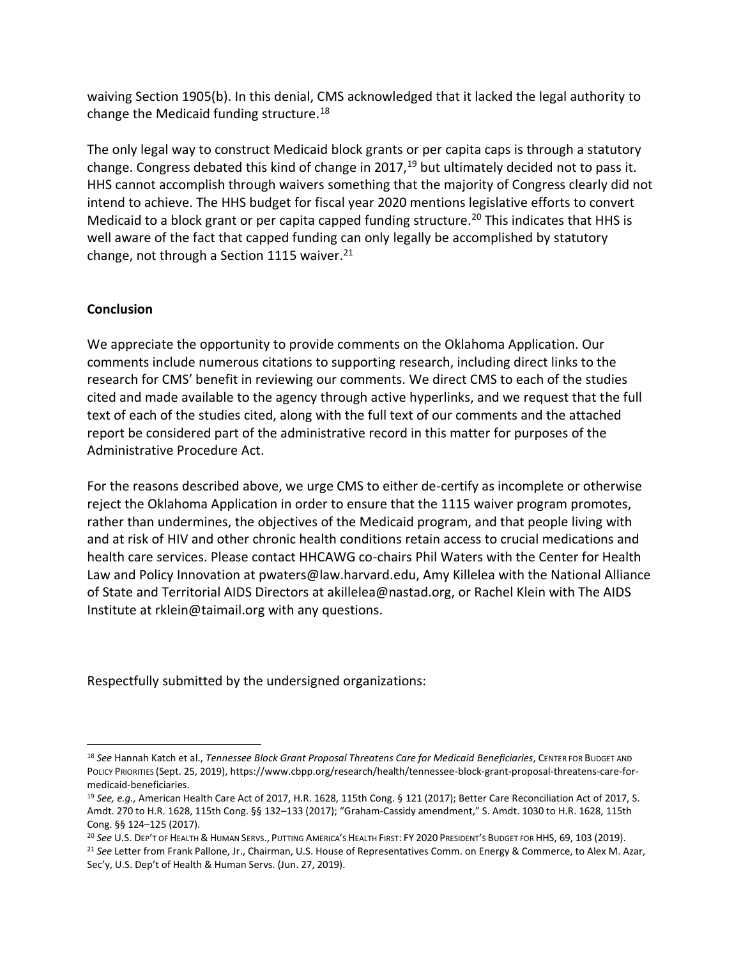waiving Section 1905(b). In this denial, CMS acknowledged that it lacked the legal authority to change the Medicaid funding structure.<sup>18</sup>

The only legal way to construct Medicaid block grants or per capita caps is through a statutory change. Congress debated this kind of change in 2017,  $19$  but ultimately decided not to pass it. HHS cannot accomplish through waivers something that the majority of Congress clearly did not intend to achieve. The HHS budget for fiscal year 2020 mentions legislative efforts to convert Medicaid to a block grant or per capita capped funding structure.<sup>20</sup> This indicates that HHS is well aware of the fact that capped funding can only legally be accomplished by statutory change, not through a Section 1115 waiver. $21$ 

### **Conclusion**

We appreciate the opportunity to provide comments on the Oklahoma Application. Our comments include numerous citations to supporting research, including direct links to the research for CMS' benefit in reviewing our comments. We direct CMS to each of the studies cited and made available to the agency through active hyperlinks, and we request that the full text of each of the studies cited, along with the full text of our comments and the attached report be considered part of the administrative record in this matter for purposes of the Administrative Procedure Act.

For the reasons described above, we urge CMS to either de-certify as incomplete or otherwise reject the Oklahoma Application in order to ensure that the 1115 waiver program promotes, rather than undermines, the objectives of the Medicaid program, and that people living with and at risk of HIV and other chronic health conditions retain access to crucial medications and health care services. Please contact HHCAWG co-chairs Phil Waters with the Center for Health Law and Policy Innovation at pwaters@law.harvard.edu, Amy Killelea with the National Alliance of State and Territorial AIDS Directors at akillelea@nastad.org, or Rachel Klein with The AIDS Institute at rklein@taimail.org with any questions.

Respectfully submitted by the undersigned organizations:

<sup>18</sup> *See* Hannah Katch et al., *Tennessee Block Grant Proposal Threatens Care for Medicaid Beneficiaries*, CENTER FOR BUDGET AND POLICY PRIORITIES (Sept. 25, 2019), https://www.cbpp.org/research/health/tennessee-block-grant-proposal-threatens-care-formedicaid-beneficiaries.

<sup>19</sup> *See, e.g.,* American Health Care Act of 2017, H.R. 1628, 115th Cong. § 121 (2017); Better Care Reconciliation Act of 2017, S. Amdt. 270 to H.R. 1628, 115th Cong. §§ 132–133 (2017); "Graham-Cassidy amendment," S. Amdt. 1030 to H.R. 1628, 115th Cong. §§ 124–125 (2017).

<sup>20</sup> *See* U.S. DEP'T OF HEALTH & HUMAN SERVS., PUTTING AMERICA'S HEALTH FIRST: FY 2020 PRESIDENT'S BUDGET FOR HHS, 69, 103 (2019).

<sup>21</sup> *See* Letter from Frank Pallone, Jr., Chairman, U.S. House of Representatives Comm. on Energy & Commerce, to Alex M. Azar, Sec'y, U.S. Dep't of Health & Human Servs. (Jun. 27, 2019).